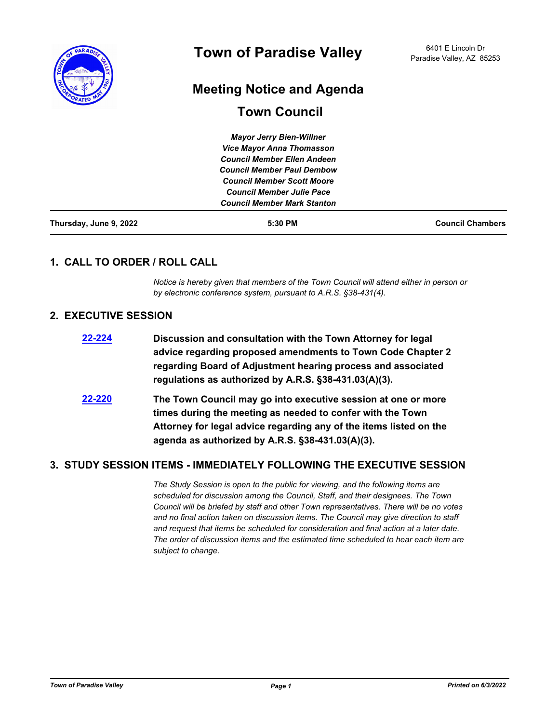

# **Meeting Notice and Agenda**

# **Town Council**

| Thursday, June 9, 2022 | 5:30 PM                            | <b>Council Chambers</b> |
|------------------------|------------------------------------|-------------------------|
|                        | <b>Council Member Mark Stanton</b> |                         |
|                        | <b>Council Member Julie Pace</b>   |                         |
|                        | <b>Council Member Scott Moore</b>  |                         |
|                        | <b>Council Member Paul Dembow</b>  |                         |
|                        | <b>Council Member Ellen Andeen</b> |                         |
|                        | <b>Vice Mayor Anna Thomasson</b>   |                         |
|                        | <b>Mayor Jerry Bien-Willner</b>    |                         |

## **1. CALL TO ORDER / ROLL CALL**

*Notice is hereby given that members of the Town Council will attend either in person or by electronic conference system, pursuant to A.R.S. §38-431(4).*

## **2. EXECUTIVE SESSION**

| 22-224     | Discussion and consultation with the Town Attorney for legal<br>advice regarding proposed amendments to Town Code Chapter 2<br>regarding Board of Adjustment hearing process and associated<br>regulations as authorized by A.R.S. §38-431.03(A)(3).  |
|------------|-------------------------------------------------------------------------------------------------------------------------------------------------------------------------------------------------------------------------------------------------------|
| $22 - 220$ | The Town Council may go into executive session at one or more<br>times during the meeting as needed to confer with the Town<br>Attorney for legal advice regarding any of the items listed on the<br>agenda as authorized by A.R.S. §38-431.03(A)(3). |

## **3. STUDY SESSION ITEMS - IMMEDIATELY FOLLOWING THE EXECUTIVE SESSION**

*The Study Session is open to the public for viewing, and the following items are scheduled for discussion among the Council, Staff, and their designees. The Town Council will be briefed by staff and other Town representatives. There will be no votes and no final action taken on discussion items. The Council may give direction to staff and request that items be scheduled for consideration and final action at a later date. The order of discussion items and the estimated time scheduled to hear each item are subject to change.*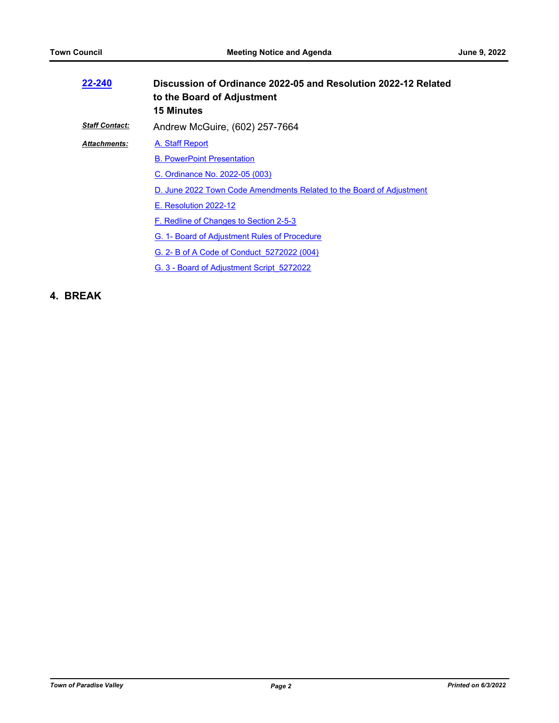| 22-240                | Discussion of Ordinance 2022-05 and Resolution 2022-12 Related<br>to the Board of Adjustment<br><b>15 Minutes</b> |
|-----------------------|-------------------------------------------------------------------------------------------------------------------|
| <b>Staff Contact:</b> | Andrew McGuire, (602) 257-7664                                                                                    |
| <b>Attachments:</b>   | A. Staff Report                                                                                                   |
|                       | <b>B. PowerPoint Presentation</b>                                                                                 |
|                       | C. Ordinance No. 2022-05 (003)                                                                                    |
|                       | D. June 2022 Town Code Amendments Related to the Board of Adjustment                                              |
|                       | E. Resolution 2022-12                                                                                             |
|                       | F. Redline of Changes to Section 2-5-3                                                                            |
|                       | G. 1- Board of Adjustment Rules of Procedure                                                                      |
|                       | G. 2- B of A Code of Conduct 5272022 (004)                                                                        |
|                       | G. 3 - Board of Adjustment Script 5272022                                                                         |

## **4. BREAK**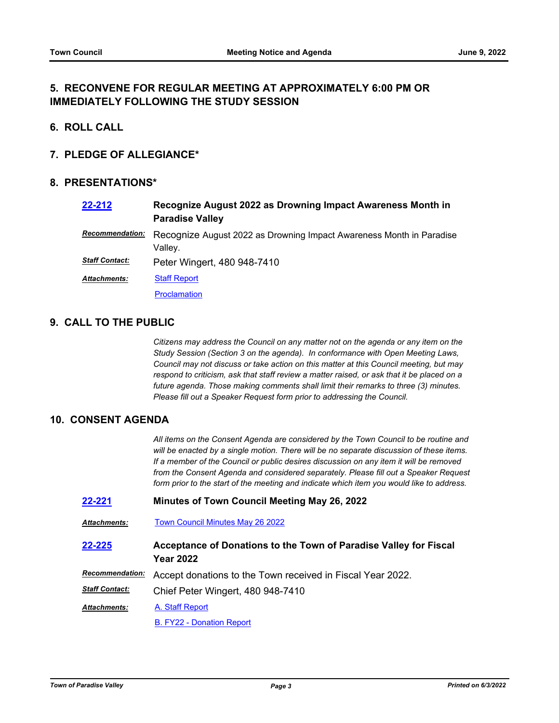## **5. RECONVENE FOR REGULAR MEETING AT APPROXIMATELY 6:00 PM OR IMMEDIATELY FOLLOWING THE STUDY SESSION**

- **6. ROLL CALL**
- **7. PLEDGE OF ALLEGIANCE\***

#### **8. PRESENTATIONS\***

| 22-212                | Recognize August 2022 as Drowning Impact Awareness Month in<br><b>Paradise Valley</b> |
|-----------------------|---------------------------------------------------------------------------------------|
| Recommendation:       | Recognize August 2022 as Drowning Impact Awareness Month in Paradise<br>Valley.       |
| <b>Staff Contact:</b> | Peter Wingert, 480 948-7410                                                           |
| <b>Attachments:</b>   | <b>Staff Report</b>                                                                   |
|                       | <b>Proclamation</b>                                                                   |

## **9. CALL TO THE PUBLIC**

*Citizens may address the Council on any matter not on the agenda or any item on the Study Session (Section 3 on the agenda). In conformance with Open Meeting Laws, Council may not discuss or take action on this matter at this Council meeting, but may respond to criticism, ask that staff review a matter raised, or ask that it be placed on a future agenda. Those making comments shall limit their remarks to three (3) minutes. Please fill out a Speaker Request form prior to addressing the Council.*

#### **10. CONSENT AGENDA**

*All items on the Consent Agenda are considered by the Town Council to be routine and will be enacted by a single motion. There will be no separate discussion of these items. If a member of the Council or public desires discussion on any item it will be removed from the Consent Agenda and considered separately. Please fill out a Speaker Request form prior to the start of the meeting and indicate which item you would like to address.*

- **[22-221](http://paradisevalleyaz.legistar.com/gateway.aspx?m=l&id=/matter.aspx?key=4319) Minutes of Town Council Meeting May 26, 2022**
- *Attachments:* [Town Council Minutes May 26 2022](http://paradisevalleyaz.legistar.com/gateway.aspx?M=F&ID=814dce06-15ac-4bb3-8d07-494170b1b602.pdf)
- **Acceptance of Donations to the Town of Paradise Valley for Fiscal Year 2022 [22-225](http://paradisevalleyaz.legistar.com/gateway.aspx?m=l&id=/matter.aspx?key=4323)**

Recommendation: Accept donations to the Town received in Fiscal Year 2022.

Chief Peter Wingert, 480 948-7410 *Staff Contact:*

[A. Staff Report](http://paradisevalleyaz.legistar.com/gateway.aspx?M=F&ID=057f2733-abb4-46c5-b937-39ef228c98f8.docx) *Attachments:*

[B. FY22 - Donation Report](http://paradisevalleyaz.legistar.com/gateway.aspx?M=F&ID=0cbc3aa8-cf33-4300-9356-1380e68146c4.pdf)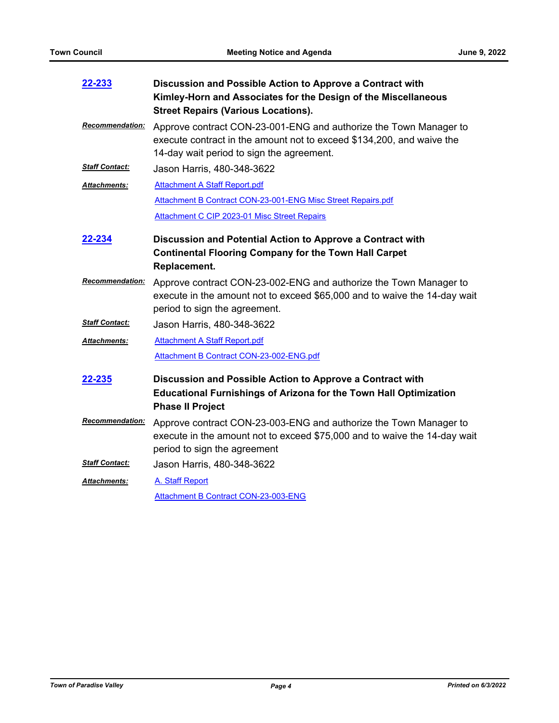| 22-233                 | Discussion and Possible Action to Approve a Contract with                                                                                                                               |
|------------------------|-----------------------------------------------------------------------------------------------------------------------------------------------------------------------------------------|
|                        | Kimley-Horn and Associates for the Design of the Miscellaneous<br><b>Street Repairs (Various Locations).</b>                                                                            |
| Recommendation:        | Approve contract CON-23-001-ENG and authorize the Town Manager to<br>execute contract in the amount not to exceed \$134,200, and waive the<br>14-day wait period to sign the agreement. |
| <b>Staff Contact:</b>  | Jason Harris, 480-348-3622                                                                                                                                                              |
| Attachments:           | <b>Attachment A Staff Report.pdf</b>                                                                                                                                                    |
|                        | Attachment B Contract CON-23-001-ENG Misc Street Repairs.pdf                                                                                                                            |
|                        | Attachment C CIP 2023-01 Misc Street Repairs                                                                                                                                            |
| 22-234                 | Discussion and Potential Action to Approve a Contract with                                                                                                                              |
|                        | <b>Continental Flooring Company for the Town Hall Carpet</b><br>Replacement.                                                                                                            |
| <b>Recommendation:</b> | Approve contract CON-23-002-ENG and authorize the Town Manager to<br>execute in the amount not to exceed \$65,000 and to waive the 14-day wait<br>period to sign the agreement.         |
| <b>Staff Contact:</b>  | Jason Harris, 480-348-3622                                                                                                                                                              |
| Attachments:           | <b>Attachment A Staff Report.pdf</b>                                                                                                                                                    |
|                        | Attachment B Contract CON-23-002-ENG.pdf                                                                                                                                                |
| 22-235                 | Discussion and Possible Action to Approve a Contract with                                                                                                                               |
|                        | <b>Educational Furnishings of Arizona for the Town Hall Optimization</b><br><b>Phase II Project</b>                                                                                     |
| Recommendation:        | Approve contract CON-23-003-ENG and authorize the Town Manager to<br>execute in the amount not to exceed \$75,000 and to waive the 14-day wait<br>period to sign the agreement          |
| <b>Staff Contact:</b>  | Jason Harris, 480-348-3622                                                                                                                                                              |
| <b>Attachments:</b>    | A. Staff Report                                                                                                                                                                         |
|                        | Attachment B Contract CON-23-003-ENG                                                                                                                                                    |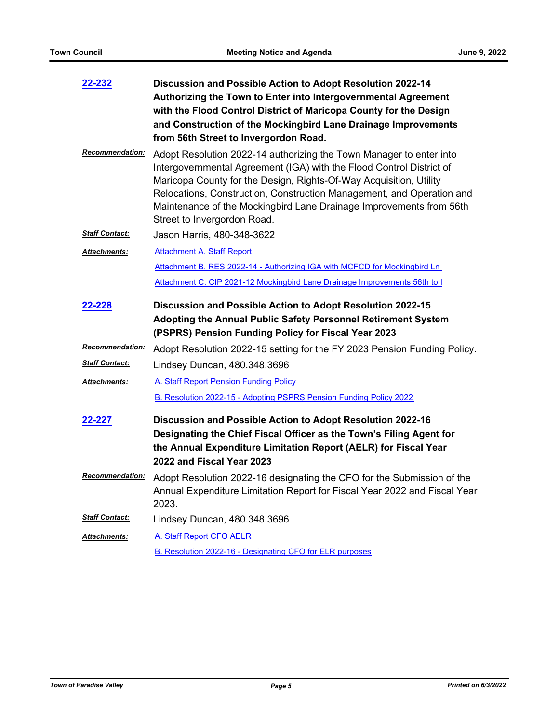| 22-232                 | Discussion and Possible Action to Adopt Resolution 2022-14<br>Authorizing the Town to Enter into Intergovernmental Agreement<br>with the Flood Control District of Maricopa County for the Design<br>and Construction of the Mockingbird Lane Drainage Improvements<br>from 56th Street to Invergordon Road.                                                                                     |
|------------------------|--------------------------------------------------------------------------------------------------------------------------------------------------------------------------------------------------------------------------------------------------------------------------------------------------------------------------------------------------------------------------------------------------|
| <b>Recommendation:</b> | Adopt Resolution 2022-14 authorizing the Town Manager to enter into<br>Intergovernmental Agreement (IGA) with the Flood Control District of<br>Maricopa County for the Design, Rights-Of-Way Acquisition, Utility<br>Relocations, Construction, Construction Management, and Operation and<br>Maintenance of the Mockingbird Lane Drainage Improvements from 56th<br>Street to Invergordon Road. |
| <b>Staff Contact:</b>  | Jason Harris, 480-348-3622                                                                                                                                                                                                                                                                                                                                                                       |
| Attachments:           | <b>Attachment A. Staff Report</b>                                                                                                                                                                                                                                                                                                                                                                |
|                        | Attachment B. RES 2022-14 - Authorizing IGA with MCFCD for Mockingbird Ln                                                                                                                                                                                                                                                                                                                        |
|                        | Attachment C. CIP 2021-12 Mockingbird Lane Drainage Improvements 56th to I                                                                                                                                                                                                                                                                                                                       |
| 22-228                 | Discussion and Possible Action to Adopt Resolution 2022-15<br>Adopting the Annual Public Safety Personnel Retirement System<br>(PSPRS) Pension Funding Policy for Fiscal Year 2023                                                                                                                                                                                                               |
| <b>Recommendation:</b> | Adopt Resolution 2022-15 setting for the FY 2023 Pension Funding Policy.                                                                                                                                                                                                                                                                                                                         |
| <b>Staff Contact:</b>  | Lindsey Duncan, 480.348.3696                                                                                                                                                                                                                                                                                                                                                                     |
| Attachments:           | A. Staff Report Pension Funding Policy                                                                                                                                                                                                                                                                                                                                                           |
|                        | B. Resolution 2022-15 - Adopting PSPRS Pension Funding Policy 2022                                                                                                                                                                                                                                                                                                                               |
| 22-227                 | Discussion and Possible Action to Adopt Resolution 2022-16<br>Designating the Chief Fiscal Officer as the Town's Filing Agent for<br>the Annual Expenditure Limitation Report (AELR) for Fiscal Year<br>2022 and Fiscal Year 2023                                                                                                                                                                |
| <b>Recommendation:</b> | Adopt Resolution 2022-16 designating the CFO for the Submission of the<br>Annual Expenditure Limitation Report for Fiscal Year 2022 and Fiscal Year<br>2023.                                                                                                                                                                                                                                     |
| <b>Staff Contact:</b>  | Lindsey Duncan, 480.348.3696                                                                                                                                                                                                                                                                                                                                                                     |
| Attachments:           | A. Staff Report CFO AELR                                                                                                                                                                                                                                                                                                                                                                         |
|                        | B. Resolution 2022-16 - Designating CFO for ELR purposes                                                                                                                                                                                                                                                                                                                                         |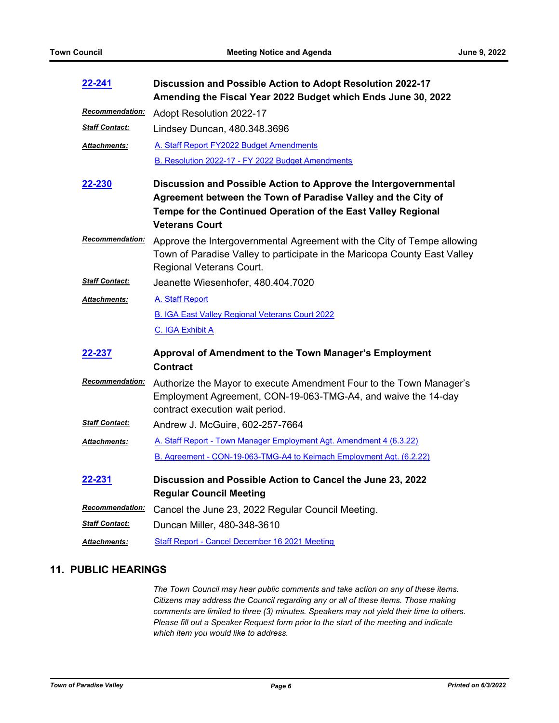| 22-241                  | Discussion and Possible Action to Adopt Resolution 2022-17<br>Amending the Fiscal Year 2022 Budget which Ends June 30, 2022                                                                                                                                                     |
|-------------------------|---------------------------------------------------------------------------------------------------------------------------------------------------------------------------------------------------------------------------------------------------------------------------------|
| <u> Recommendation:</u> | Adopt Resolution 2022-17                                                                                                                                                                                                                                                        |
| <b>Staff Contact:</b>   | Lindsey Duncan, 480.348.3696                                                                                                                                                                                                                                                    |
| <b>Attachments:</b>     | A. Staff Report FY2022 Budget Amendments                                                                                                                                                                                                                                        |
| 22-230                  | B. Resolution 2022-17 - FY 2022 Budget Amendments<br>Discussion and Possible Action to Approve the Intergovernmental<br>Agreement between the Town of Paradise Valley and the City of<br>Tempe for the Continued Operation of the East Valley Regional<br><b>Veterans Court</b> |
| Recommendation:         | Approve the Intergovernmental Agreement with the City of Tempe allowing<br>Town of Paradise Valley to participate in the Maricopa County East Valley<br>Regional Veterans Court.                                                                                                |
| <b>Staff Contact:</b>   | Jeanette Wiesenhofer, 480.404.7020                                                                                                                                                                                                                                              |
| <b>Attachments:</b>     | A. Staff Report                                                                                                                                                                                                                                                                 |
|                         | <b>B. IGA East Valley Regional Veterans Court 2022</b>                                                                                                                                                                                                                          |
|                         | C. IGA Exhibit A                                                                                                                                                                                                                                                                |
| 22-237                  | Approval of Amendment to the Town Manager's Employment<br><b>Contract</b>                                                                                                                                                                                                       |
| Recommendation:         | Authorize the Mayor to execute Amendment Four to the Town Manager's<br>Employment Agreement, CON-19-063-TMG-A4, and waive the 14-day<br>contract execution wait period.                                                                                                         |
| <b>Staff Contact:</b>   | Andrew J. McGuire, 602-257-7664                                                                                                                                                                                                                                                 |
| <b>Attachments:</b>     | A. Staff Report - Town Manager Employment Agt. Amendment 4 (6.3.22)                                                                                                                                                                                                             |
|                         | B. Agreement - CON-19-063-TMG-A4 to Keimach Employment Agt. (6.2.22)                                                                                                                                                                                                            |
| 22-231                  | Discussion and Possible Action to Cancel the June 23, 2022<br><b>Regular Council Meeting</b>                                                                                                                                                                                    |
| <b>Recommendation:</b>  | Cancel the June 23, 2022 Regular Council Meeting.                                                                                                                                                                                                                               |
| <b>Staff Contact:</b>   | Duncan Miller, 480-348-3610                                                                                                                                                                                                                                                     |
| <b>Attachments:</b>     | Staff Report - Cancel December 16 2021 Meeting                                                                                                                                                                                                                                  |

# **11. PUBLIC HEARINGS**

*The Town Council may hear public comments and take action on any of these items. Citizens may address the Council regarding any or all of these items. Those making comments are limited to three (3) minutes. Speakers may not yield their time to others. Please fill out a Speaker Request form prior to the start of the meeting and indicate which item you would like to address.*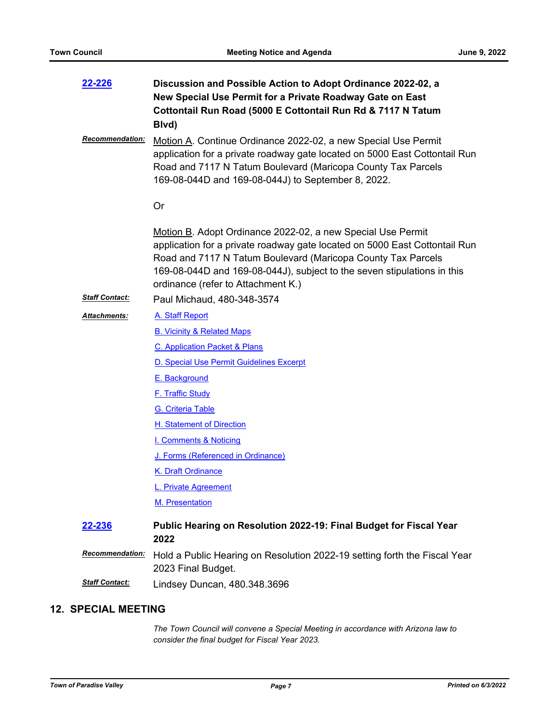| 22-226                 | Discussion and Possible Action to Adopt Ordinance 2022-02, a<br>New Special Use Permit for a Private Roadway Gate on East<br>Cottontail Run Road (5000 E Cottontail Run Rd & 7117 N Tatum<br>Blvd)                                                                                                                         |
|------------------------|----------------------------------------------------------------------------------------------------------------------------------------------------------------------------------------------------------------------------------------------------------------------------------------------------------------------------|
| Recommendation:        | Motion A. Continue Ordinance 2022-02, a new Special Use Permit<br>application for a private roadway gate located on 5000 East Cottontail Run<br>Road and 7117 N Tatum Boulevard (Maricopa County Tax Parcels<br>169-08-044D and 169-08-044J) to September 8, 2022.                                                         |
|                        | <b>Or</b>                                                                                                                                                                                                                                                                                                                  |
|                        | Motion B. Adopt Ordinance 2022-02, a new Special Use Permit<br>application for a private roadway gate located on 5000 East Cottontail Run<br>Road and 7117 N Tatum Boulevard (Maricopa County Tax Parcels<br>169-08-044D and 169-08-044J), subject to the seven stipulations in this<br>ordinance (refer to Attachment K.) |
| <b>Staff Contact:</b>  | Paul Michaud, 480-348-3574                                                                                                                                                                                                                                                                                                 |
| Attachments:           | A. Staff Report                                                                                                                                                                                                                                                                                                            |
|                        | <b>B. Vicinity &amp; Related Maps</b>                                                                                                                                                                                                                                                                                      |
|                        | C. Application Packet & Plans                                                                                                                                                                                                                                                                                              |
|                        | D. Special Use Permit Guidelines Excerpt                                                                                                                                                                                                                                                                                   |
|                        | E. Background                                                                                                                                                                                                                                                                                                              |
|                        | <b>F. Traffic Study</b>                                                                                                                                                                                                                                                                                                    |
|                        | <b>G.</b> Criteria Table                                                                                                                                                                                                                                                                                                   |
|                        | H. Statement of Direction                                                                                                                                                                                                                                                                                                  |
|                        | <b>I. Comments &amp; Noticing</b>                                                                                                                                                                                                                                                                                          |
|                        | J. Forms (Referenced in Ordinance)                                                                                                                                                                                                                                                                                         |
|                        | K. Draft Ordinance                                                                                                                                                                                                                                                                                                         |
|                        | <b>Private Agreement</b>                                                                                                                                                                                                                                                                                                   |
|                        | M. Presentation                                                                                                                                                                                                                                                                                                            |
| <u>22-236</u>          | Public Hearing on Resolution 2022-19: Final Budget for Fiscal Year<br>2022                                                                                                                                                                                                                                                 |
| <b>Recommendation:</b> | Hold a Public Hearing on Resolution 2022-19 setting forth the Fiscal Year<br>2023 Final Budget.                                                                                                                                                                                                                            |
| <b>Staff Contact:</b>  | Lindsey Duncan, 480.348.3696                                                                                                                                                                                                                                                                                               |

## **12. SPECIAL MEETING**

*The Town Council will convene a Special Meeting in accordance with Arizona law to consider the final budget for Fiscal Year 2023.*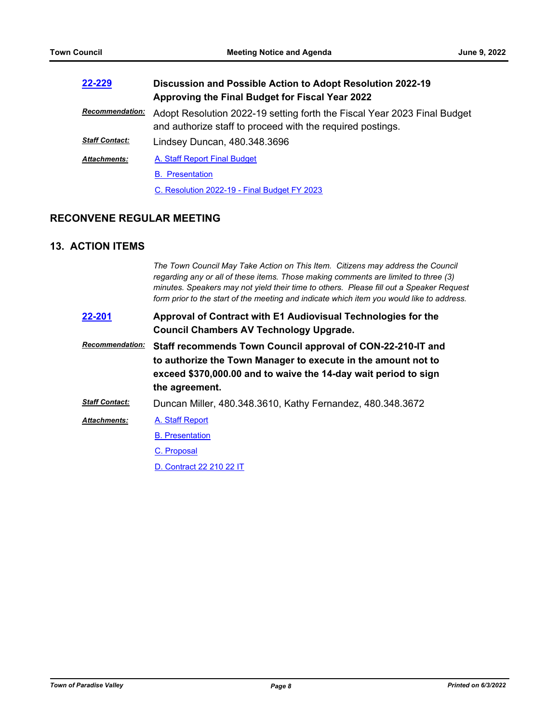| 22-229                 | Discussion and Possible Action to Adopt Resolution 2022-19<br>Approving the Final Budget for Fiscal Year 2022                          |
|------------------------|----------------------------------------------------------------------------------------------------------------------------------------|
| <b>Recommendation:</b> | Adopt Resolution 2022-19 setting forth the Fiscal Year 2023 Final Budget<br>and authorize staff to proceed with the required postings. |
| <b>Staff Contact:</b>  | Lindsey Duncan, 480.348.3696                                                                                                           |
| <b>Attachments:</b>    | A. Staff Report Final Budget                                                                                                           |
|                        | <b>B.</b> Presentation                                                                                                                 |
|                        | C. Resolution 2022-19 - Final Budget FY 2023                                                                                           |

## **RECONVENE REGULAR MEETING**

## **13. ACTION ITEMS**

*The Town Council May Take Action on This Item. Citizens may address the Council regarding any or all of these items. Those making comments are limited to three (3) minutes. Speakers may not yield their time to others. Please fill out a Speaker Request form prior to the start of the meeting and indicate which item you would like to address.*

| 22-201                 | Approval of Contract with E1 Audiovisual Technologies for the<br><b>Council Chambers AV Technology Upgrade.</b>                                                                                                   |
|------------------------|-------------------------------------------------------------------------------------------------------------------------------------------------------------------------------------------------------------------|
| <b>Recommendation:</b> | Staff recommends Town Council approval of CON-22-210-IT and<br>to authorize the Town Manager to execute in the amount not to<br>exceed \$370,000.00 and to waive the 14-day wait period to sign<br>the agreement. |
| <b>Staff Contact:</b>  | Duncan Miller, 480.348.3610, Kathy Fernandez, 480.348.3672                                                                                                                                                        |
| <b>Attachments:</b>    | A. Staff Report                                                                                                                                                                                                   |
|                        | <b>B.</b> Presentation                                                                                                                                                                                            |

[C. Proposal](http://paradisevalleyaz.legistar.com/gateway.aspx?M=F&ID=7438b5b3-326e-4998-9e07-d8716cf39b43.pdf)

[D. Contract 22 210 22 IT](http://paradisevalleyaz.legistar.com/gateway.aspx?M=F&ID=c390b3e8-50d6-4887-9f02-289964b3fc77.pdf)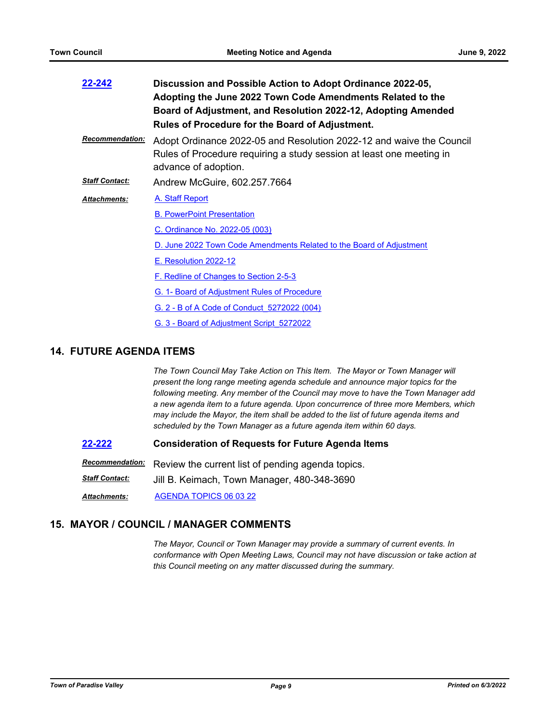| 22-242                 | Discussion and Possible Action to Adopt Ordinance 2022-05,<br>Adopting the June 2022 Town Code Amendments Related to the<br>Board of Adjustment, and Resolution 2022-12, Adopting Amended<br><b>Rules of Procedure for the Board of Adjustment.</b> |
|------------------------|-----------------------------------------------------------------------------------------------------------------------------------------------------------------------------------------------------------------------------------------------------|
| <b>Recommendation:</b> | Adopt Ordinance 2022-05 and Resolution 2022-12 and waive the Council<br>Rules of Procedure requiring a study session at least one meeting in<br>advance of adoption.                                                                                |
| <b>Staff Contact:</b>  | Andrew McGuire, 602.257.7664                                                                                                                                                                                                                        |
| <b>Attachments:</b>    | A. Staff Report                                                                                                                                                                                                                                     |
|                        | <b>B. PowerPoint Presentation</b>                                                                                                                                                                                                                   |
|                        | C. Ordinance No. 2022-05 (003)                                                                                                                                                                                                                      |
|                        | D. June 2022 Town Code Amendments Related to the Board of Adjustment                                                                                                                                                                                |
|                        | <u>E. Resolution 2022-12</u>                                                                                                                                                                                                                        |
|                        | F. Redline of Changes to Section 2-5-3                                                                                                                                                                                                              |
|                        | G. 1- Board of Adjustment Rules of Procedure                                                                                                                                                                                                        |
|                        | <u>G. 2 - B of A Code of Conduct 5272022 (004)</u>                                                                                                                                                                                                  |
|                        | G. 3 - Board of Adjustment Script 5272022                                                                                                                                                                                                           |

## **14. FUTURE AGENDA ITEMS**

*The Town Council May Take Action on This Item. The Mayor or Town Manager will present the long range meeting agenda schedule and announce major topics for the following meeting. Any member of the Council may move to have the Town Manager add a new agenda item to a future agenda. Upon concurrence of three more Members, which may include the Mayor, the item shall be added to the list of future agenda items and scheduled by the Town Manager as a future agenda item within 60 days.*

**[22-222](http://paradisevalleyaz.legistar.com/gateway.aspx?m=l&id=/matter.aspx?key=4320) Consideration of Requests for Future Agenda Items**

Recommendation: Review the current list of pending agenda topics.

*Staff Contact:* Jill B. Keimach, Town Manager, 480-348-3690

*Attachments:* [AGENDA TOPICS 06 03 22](http://paradisevalleyaz.legistar.com/gateway.aspx?M=F&ID=9aa55c40-0deb-4a08-a6c6-934c14d1655c.pdf)

## **15. MAYOR / COUNCIL / MANAGER COMMENTS**

*The Mayor, Council or Town Manager may provide a summary of current events. In conformance with Open Meeting Laws, Council may not have discussion or take action at this Council meeting on any matter discussed during the summary.*